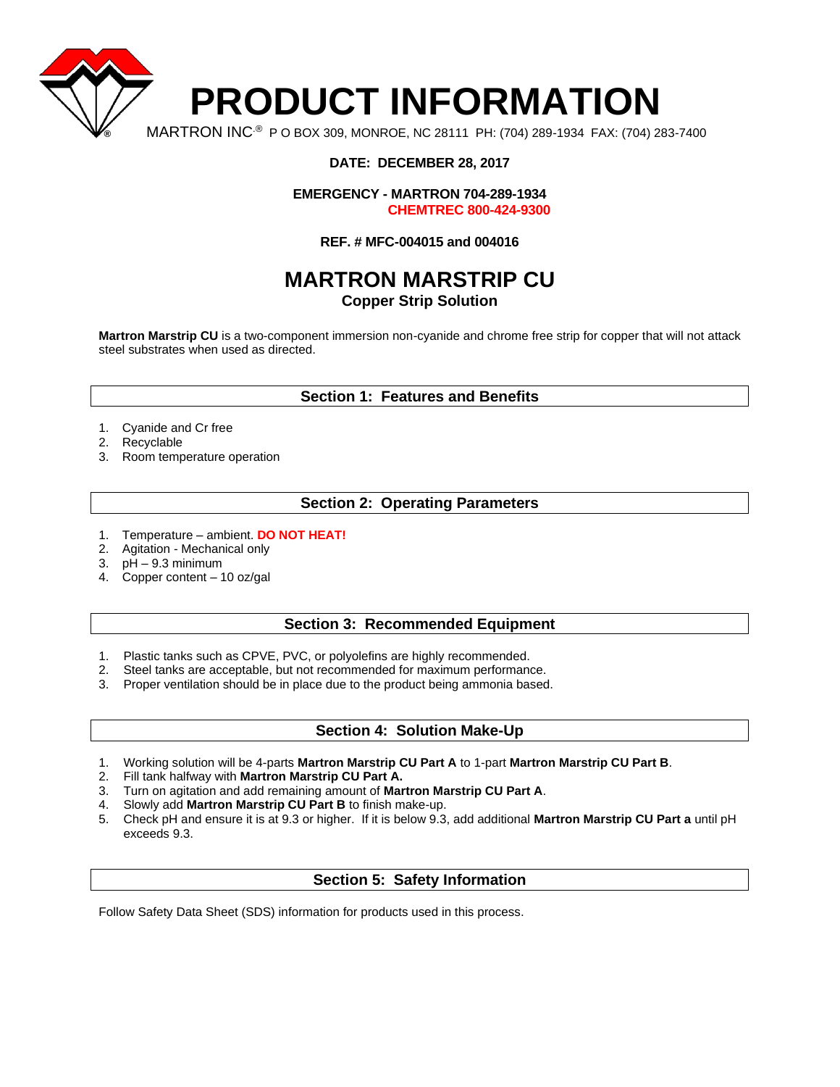

# **DATE: DECEMBER 28, 2017**

**EMERGENCY - MARTRON 704-289-1934 CHEMTREC 800-424-9300**

#### **REF. # MFC-004015 and 004016**

# **MARTRON MARSTRIP CU**

# **Copper Strip Solution**

**Martron Marstrip CU** is a two-component immersion non-cyanide and chrome free strip for copper that will not attack steel substrates when used as directed.

## **Section 1: Features and Benefits**

- 1. Cyanide and Cr free
- 2. Recyclable
- 3. Room temperature operation

## **Section 2: Operating Parameters**

- 1. Temperature ambient. **DO NOT HEAT!**
- 2. Agitation Mechanical only
- 3. pH 9.3 minimum
- 4. Copper content 10 oz/gal

#### **Section 3: Recommended Equipment**

- 1. Plastic tanks such as CPVE, PVC, or polyolefins are highly recommended.
- 2. Steel tanks are acceptable, but not recommended for maximum performance.
- 3. Proper ventilation should be in place due to the product being ammonia based.

## **Section 4: Solution Make-Up**

- 1. Working solution will be 4-parts **Martron Marstrip CU Part A** to 1-part **Martron Marstrip CU Part B**.
- 2. Fill tank halfway with **Martron Marstrip CU Part A.**
- 3. Turn on agitation and add remaining amount of **Martron Marstrip CU Part A**.
- 4. Slowly add **Martron Marstrip CU Part B** to finish make-up.
- 5. Check pH and ensure it is at 9.3 or higher. If it is below 9.3, add additional **Martron Marstrip CU Part a** until pH exceeds 9.3.

# **Section 5: Safety Information**

Follow Safety Data Sheet (SDS) information for products used in this process.